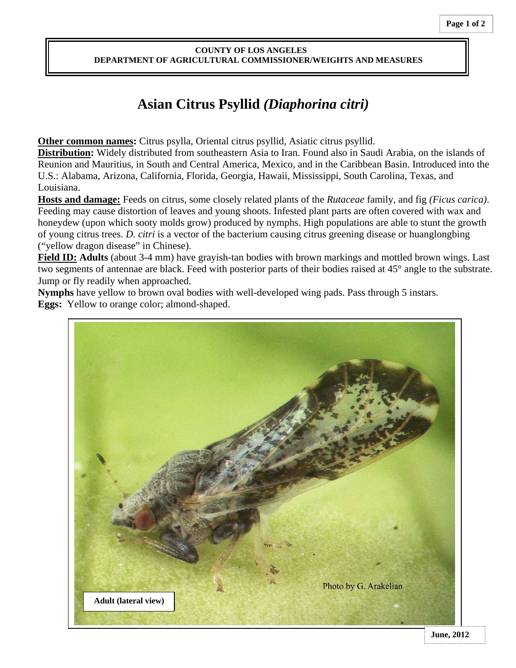## **COUNTY OF LOS ANGELES DEPARTMENT OF AGRICULTURAL COMMISSIONER/WEIGHTS AND MEASURES**

## **Asian Citrus Psyllid** *(Diaphorina citri)*

 **Other common names:** Citrus psylla, Oriental citrus psyllid, Asiatic citrus psyllid.

**Distribution:** Widely distributed from southeastern Asia to Iran. Found also in Saudi Arabia, on the islands of Reunion and Mauritius, in South and Central America, Mexico, and in the Caribbean Basin. Introduced into the U.S.: Alabama, Arizona, California, Florida, Georgia, Hawaii, Mississippi, South Carolina, Texas, and Louisiana.

**Hosts and damage:** Feeds on citrus, some closely related plants of the *Rutaceae* family, and fig *(Ficus carica)*. Feeding may cause distortion of leaves and young shoots. Infested plant parts are often covered with wax and honeydew (upon which sooty molds grow) produced by nymphs. High populations are able to stunt the growth of young citrus trees. *D. citri* is a vector of the bacterium causing citrus greening disease or huanglongbing ("yellow dragon disease" in Chinese).

**Field ID: Adults** (about 3-4 mm) have grayish-tan bodies with brown markings and mottled brown wings. Last two segments of antennae are black. Feed with posterior parts of their bodies raised at 45° angle to the substrate. Jump or fly readily when approached.

**Nymphs** have yellow to brown oval bodies with well-developed wing pads. Pass through 5 instars. **Eggs:** Yellow to orange color; almond-shaped.